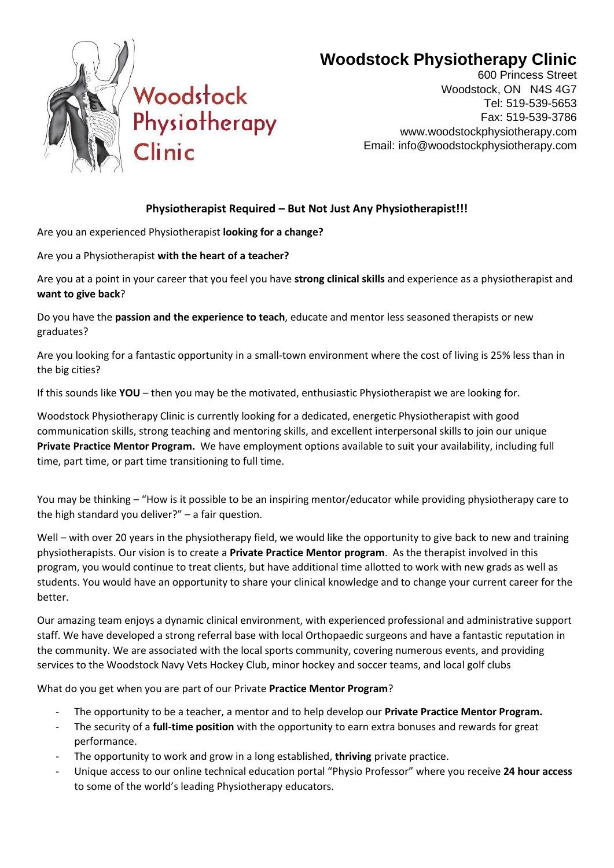

## **Woodstock Physiotherapy Clinic**

600 Princess Street Woodstock, ON N4S 4G7 Tel: 519-539-5653 Fax: 519-539-3786 www.woodstockphysiotherapy.com Email: info@woodstockphysiotherapy.com

## **Physiotherapist Required – But Not Just Any Physiotherapist!!!**

Are you an experienced Physiotherapist **looking for a change?**

Are you a Physiotherapist **with the heart of a teacher?** 

Are you at a point in your career that you feel you have **strong clinical skills** and experience as a physiotherapist and **want to give back**?

Do you have the **passion and the experience to teach**, educate and mentor less seasoned therapists or new graduates?

Are you looking for a fantastic opportunity in a small-town environment where the cost of living is 25% less than in the big cities?

If this sounds like **YOU** – then you may be the motivated, enthusiastic Physiotherapist we are looking for.

Woodstock Physiotherapy Clinic is currently looking for a dedicated, energetic Physiotherapist with good communication skills, strong teaching and mentoring skills, and excellent interpersonal skills to join our unique **Private Practice Mentor Program.** We have employment options available to suit your availability, including full time, part time, or part time transitioning to full time.

You may be thinking – "How is it possible to be an inspiring mentor/educator while providing physiotherapy care to the high standard you deliver?" – a fair question.

Well – with over 20 years in the physiotherapy field, we would like the opportunity to give back to new and training physiotherapists. Our vision is to create a **Private Practice Mentor program**. As the therapist involved in this program, you would continue to treat clients, but have additional time allotted to work with new grads as well as students. You would have an opportunity to share your clinical knowledge and to change your current career for the better.

Our amazing team enjoys a dynamic clinical environment, with experienced professional and administrative support staff. We have developed a strong referral base with local Orthopaedic surgeons and have a fantastic reputation in the community. We are associated with the local sports community, covering numerous events, and providing services to the Woodstock Navy Vets Hockey Club, minor hockey and soccer teams, and local golf clubs

What do you get when you are part of our Private **Practice Mentor Program**?

- The opportunity to be a teacher, a mentor and to help develop our **Private Practice Mentor Program.**
- The security of a **full-time position** with the opportunity to earn extra bonuses and rewards for great performance.
- The opportunity to work and grow in a long established, **thriving** private practice.
- Unique access to our online technical education portal "Physio Professor" where you receive **24 hour access** to some of the world's leading Physiotherapy educators.